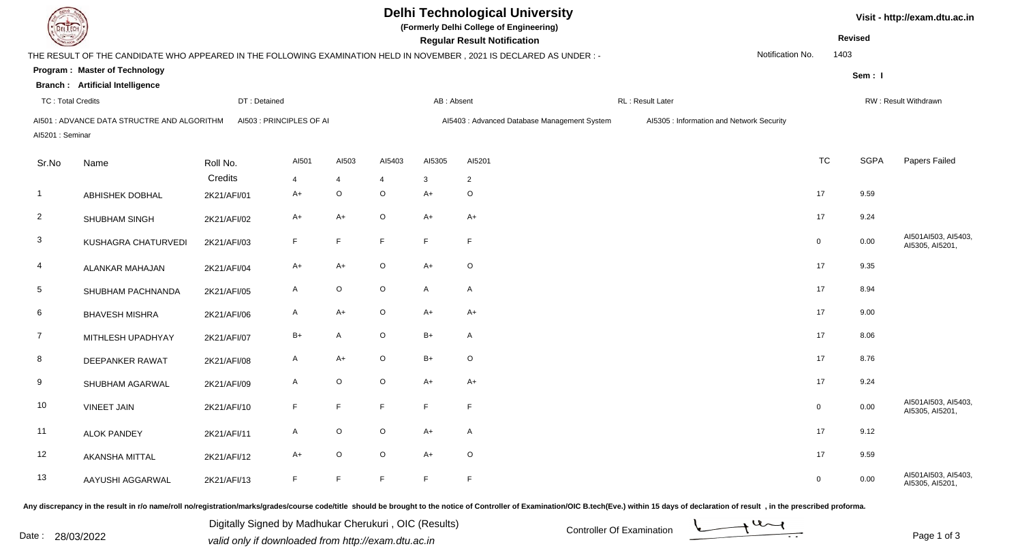| <b>DELTECH</b>           |                                             |              |                          |                | <b>Delhi Technological University</b><br>(Formerly Delhi College of Engineering) | Visit - http://exam.dtu.ac.in |                                                                                                                      |                                           |                  |                |             |                                        |
|--------------------------|---------------------------------------------|--------------|--------------------------|----------------|----------------------------------------------------------------------------------|-------------------------------|----------------------------------------------------------------------------------------------------------------------|-------------------------------------------|------------------|----------------|-------------|----------------------------------------|
|                          |                                             |              |                          |                | <b>Regular Result Notification</b>                                               |                               |                                                                                                                      | <b>Revised</b>                            |                  |                |             |                                        |
|                          |                                             |              |                          |                |                                                                                  |                               | THE RESULT OF THE CANDIDATE WHO APPEARED IN THE FOLLOWING EXAMINATION HELD IN NOVEMBER, 2021 IS DECLARED AS UNDER :- |                                           | Notification No. | 1403           |             |                                        |
|                          | <b>Program: Master of Technology</b>        |              |                          |                |                                                                                  |                               |                                                                                                                      |                                           |                  |                | Sem: I      |                                        |
|                          | <b>Branch: Artificial Intelligence</b>      |              |                          |                |                                                                                  |                               |                                                                                                                      |                                           |                  |                |             |                                        |
| <b>TC: Total Credits</b> |                                             | DT: Detained |                          |                |                                                                                  | AB: Absent                    |                                                                                                                      | RL: Result Later                          |                  |                |             | RW: Result Withdrawn                   |
|                          | AI501 : ADVANCE DATA STRUCTRE AND ALGORITHM |              | AI503 : PRINCIPLES OF AI |                |                                                                                  |                               | Al5403 : Advanced Database Management System                                                                         | Al5305 : Information and Network Security |                  |                |             |                                        |
| Al5201: Seminar          |                                             |              |                          |                |                                                                                  |                               |                                                                                                                      |                                           |                  |                |             |                                        |
| Sr.No                    | Name                                        | Roll No.     | AI501                    | AI503          | AI5403                                                                           | AI5305                        | AI5201                                                                                                               |                                           |                  | <b>TC</b>      | <b>SGPA</b> | Papers Failed                          |
|                          |                                             | Credits      | $\overline{4}$           | $\overline{4}$ | 4                                                                                | 3                             | $\overline{2}$                                                                                                       |                                           |                  |                |             |                                        |
| $\overline{1}$           | <b>ABHISHEK DOBHAL</b>                      | 2K21/AFI/01  | A+                       | $\mathsf O$    | $\circ$                                                                          | $A+$                          | $\circ$                                                                                                              |                                           |                  | 17             | 9.59        |                                        |
| $\overline{2}$           | SHUBHAM SINGH                               | 2K21/AFI/02  | A+                       | $A+$           | $\circ$                                                                          | $A+$                          | $A+$                                                                                                                 |                                           |                  | 17             | 9.24        |                                        |
| $\mathbf{3}$             | KUSHAGRA CHATURVEDI                         | 2K21/AFI/03  | F                        | F              | F                                                                                | F                             | F                                                                                                                    |                                           |                  | $\overline{0}$ | 0.00        | AI501AI503, AI5403,<br>AI5305, AI5201, |
| $\overline{4}$           | ALANKAR MAHAJAN                             | 2K21/AFI/04  | A+                       | $A+$           | $\circ$                                                                          | $A+$                          | $\mathsf O$                                                                                                          |                                           |                  | 17             | 9.35        |                                        |
| 5                        | SHUBHAM PACHNANDA                           | 2K21/AFI/05  | A                        | $\mathsf O$    | $\circ$                                                                          | $\mathsf{A}$                  | $\mathsf{A}$                                                                                                         |                                           |                  | 17             | 8.94        |                                        |
| 6                        | <b>BHAVESH MISHRA</b>                       | 2K21/AFI/06  | A                        | $A+$           | $\circ$                                                                          | $A+$                          | $A+$                                                                                                                 |                                           |                  | 17             | 9.00        |                                        |
| $\overline{7}$           | MITHLESH UPADHYAY                           | 2K21/AFI/07  | $B+$                     | A              | $\circ$                                                                          | $B+$                          | $\mathsf{A}$                                                                                                         |                                           |                  | 17             | 8.06        |                                        |
| 8                        | <b>DEEPANKER RAWAT</b>                      | 2K21/AFI/08  | A                        | $A+$           | $\circ$                                                                          | $B+$                          | $\circ$                                                                                                              |                                           |                  | 17             | 8.76        |                                        |
| 9                        | SHUBHAM AGARWAL                             | 2K21/AFI/09  | A                        | $\mathsf O$    | $\circ$                                                                          | $A+$                          | $A+$                                                                                                                 |                                           |                  | 17             | 9.24        |                                        |
| 10                       | <b>VINEET JAIN</b>                          | 2K21/AFI/10  | F.                       | $\mathsf F$    | $\mathsf F$                                                                      | $\mathsf F$                   | $\mathsf F$                                                                                                          |                                           |                  | $\overline{0}$ | 0.00        | AI501AI503, AI5403,<br>AI5305, AI5201, |
| 11                       | <b>ALOK PANDEY</b>                          | 2K21/AFI/11  | A                        | $\mathsf O$    | $\circ$                                                                          | $A+$                          | $\mathsf{A}$                                                                                                         |                                           |                  | 17             | 9.12        |                                        |
| 12                       | AKANSHA MITTAL                              | 2K21/AFI/12  | $A+$                     | $\mathsf O$    | $\circ$                                                                          | $A+$                          | $\circ$                                                                                                              |                                           |                  | 17             | 9.59        |                                        |
| 13                       | AAYUSHI AGGARWAL                            | 2K21/AFI/13  | F                        | $\mathsf F$    | F                                                                                | F                             | $\mathsf F$                                                                                                          |                                           |                  | $\mathbf 0$    | 0.00        | AI501AI503, AI5403,<br>AI5305, AI5201, |

Any discrepancy in the result in r/o name/roll no/registration/marks/grades/course code/title should be brought to the notice of Controller of Examination/OIC B.tech(Eve.) within 15 days of declaration of result, in the pr

Digitally Signed by Madhukar Cherukuri, OIC (Results)<br>Date : 28/03/2022 valid only if downloaded from http://oxam.dtu.ac.in Digitally Signed by Madhukar Cherukuri , OIC (Results)valid only if downloaded from http://exam.dtu.ac.in

Page 1 of 3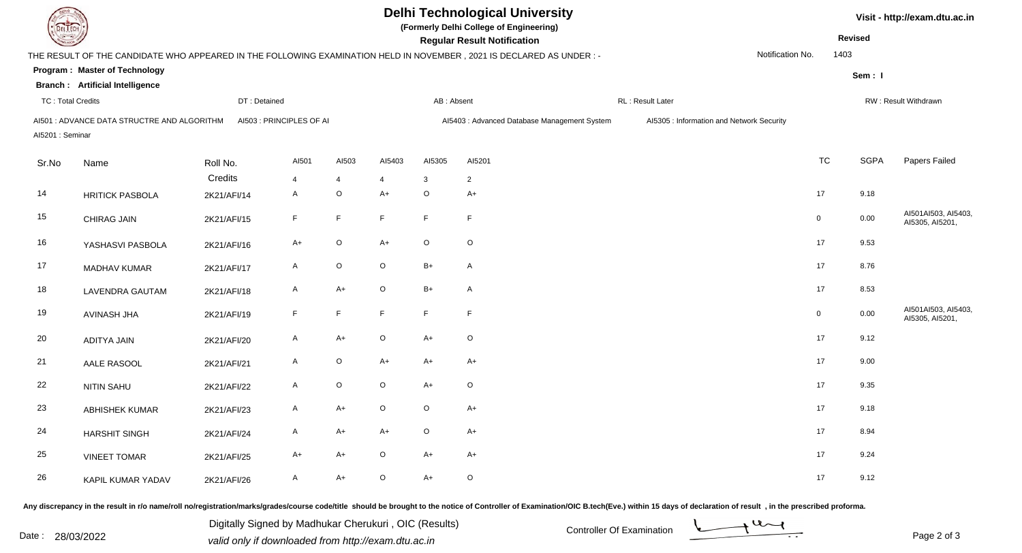| <b>DELTECH</b>                           |                                            |             |                          |                                |                                    | <b>Delhi Technological University</b><br>(Formerly Delhi College of Engineering) |                                                                                                                      |                                           | Visit - http://exam.dtu.ac.in |             |             |                                        |
|------------------------------------------|--------------------------------------------|-------------|--------------------------|--------------------------------|------------------------------------|----------------------------------------------------------------------------------|----------------------------------------------------------------------------------------------------------------------|-------------------------------------------|-------------------------------|-------------|-------------|----------------------------------------|
|                                          |                                            |             |                          |                                | <b>Regular Result Notification</b> |                                                                                  |                                                                                                                      | <b>Revised</b>                            |                               |             |             |                                        |
|                                          |                                            |             |                          |                                |                                    |                                                                                  | THE RESULT OF THE CANDIDATE WHO APPEARED IN THE FOLLOWING EXAMINATION HELD IN NOVEMBER, 2021 IS DECLARED AS UNDER :- |                                           | Notification No.              | 1403        |             |                                        |
|                                          | Program: Master of Technology              |             |                          |                                |                                    |                                                                                  |                                                                                                                      |                                           |                               |             | Sem: I      |                                        |
|                                          | <b>Branch:</b> Artificial Intelligence     |             |                          |                                |                                    |                                                                                  |                                                                                                                      |                                           |                               |             |             |                                        |
| <b>TC: Total Credits</b><br>DT: Detained |                                            |             |                          | RL: Result Later<br>AB: Absent |                                    |                                                                                  |                                                                                                                      |                                           | RW: Result Withdrawn          |             |             |                                        |
| Al5201: Seminar                          | AI501: ADVANCE DATA STRUCTRE AND ALGORITHM |             | AI503 : PRINCIPLES OF AI |                                |                                    |                                                                                  | Al5403 : Advanced Database Management System                                                                         | Al5305 : Information and Network Security |                               |             |             |                                        |
| Sr.No                                    | Name                                       | Roll No.    | AI501                    | AI503                          | AI5403                             | AI5305                                                                           | AI5201                                                                                                               |                                           |                               | <b>TC</b>   | <b>SGPA</b> | Papers Failed                          |
|                                          |                                            | Credits     | 4                        | $\overline{4}$                 | 4                                  | 3                                                                                | $\overline{2}$                                                                                                       |                                           |                               |             |             |                                        |
| 14                                       | <b>HRITICK PASBOLA</b>                     | 2K21/AFI/14 | A                        | $\mathsf O$                    | $A+$                               | $\circ$                                                                          | $A+$                                                                                                                 |                                           |                               | 17          | 9.18        |                                        |
| 15                                       | <b>CHIRAG JAIN</b>                         | 2K21/AFI/15 | $\mathsf F$              | $\mathsf F$                    | F                                  | F                                                                                | $\mathsf F$                                                                                                          |                                           |                               | $\mathsf 0$ | 0.00        | AI501AI503, AI5403,<br>AI5305, AI5201, |
| 16                                       | YASHASVI PASBOLA                           | 2K21/AFI/16 | $A+$                     | $\mathsf O$                    | $A+$                               | $\circ$                                                                          | $\mathsf O$                                                                                                          |                                           |                               | 17          | 9.53        |                                        |
| 17                                       | MADHAV KUMAR                               | 2K21/AFI/17 | A                        | $\mathsf O$                    | $\mathsf O$                        | $B+$                                                                             | $\mathsf{A}$                                                                                                         |                                           |                               | 17          | 8.76        |                                        |
| 18                                       | <b>LAVENDRA GAUTAM</b>                     | 2K21/AFI/18 | $\mathsf{A}$             | $A+$                           | $\mathsf O$                        | $B+$                                                                             | $\mathsf{A}$                                                                                                         |                                           |                               | 17          | 8.53        |                                        |
| 19                                       | <b>AVINASH JHA</b>                         | 2K21/AFI/19 | F                        | $\mathsf F$                    | F                                  | $\mathsf F$                                                                      | $\mathsf F$                                                                                                          |                                           |                               | $\mathsf 0$ | 0.00        | AI501AI503, AI5403,<br>AI5305, AI5201, |
| 20                                       | <b>ADITYA JAIN</b>                         | 2K21/AFI/20 | A                        | $A+$                           | $\mathsf O$                        | $A+$                                                                             | $\mathsf O$                                                                                                          |                                           |                               | 17          | 9.12        |                                        |
| 21                                       | AALE RASOOL                                | 2K21/AFI/21 | $\mathsf{A}$             | $\mathsf O$                    | $A+$                               | $A+$                                                                             | $A+$                                                                                                                 |                                           |                               | 17          | 9.00        |                                        |
| 22                                       | <b>NITIN SAHU</b>                          | 2K21/AFI/22 | $\mathsf{A}$             | $\mathsf O$                    | $\circ$                            | $A+$                                                                             | $\circ$                                                                                                              |                                           |                               | 17          | 9.35        |                                        |
| 23                                       | ABHISHEK KUMAR                             | 2K21/AFI/23 | A                        | $A+$                           | $\mathsf O$                        | $\circ$                                                                          | $A+$                                                                                                                 |                                           |                               | 17          | 9.18        |                                        |
| 24                                       | <b>HARSHIT SINGH</b>                       | 2K21/AFI/24 | A                        | $A+$                           | $A+$                               | $\mathsf O$                                                                      | $A+$                                                                                                                 |                                           |                               | 17          | 8.94        |                                        |
| 25                                       | <b>VINEET TOMAR</b>                        | 2K21/AFI/25 | $A+$                     | $A+$                           | $\circ$                            | $A+$                                                                             | $A+$                                                                                                                 |                                           |                               | 17          | 9.24        |                                        |
| 26                                       | KAPIL KUMAR YADAV                          | 2K21/AFI/26 | A                        | $A+$                           | $\circ$                            | $A+$                                                                             | $\circ$                                                                                                              |                                           |                               | 17          | 9.12        |                                        |

Any discrepancy in the result in r/o name/roll no/registration/marks/grades/course code/title should be brought to the notice of Controller of Examination/OIC B.tech(Eve.) within 15 days of declaration of result, in the pr

Digitally Signed by Madhukar Cherukuri, OIC (Results)<br>Date : 28/03/2022 valid only if downloaded from http://oxam.dtu.ac.in Digitally Signed by Madhukar Cherukuri , OIC (Results)valid only if downloaded from http://exam.dtu.ac.in